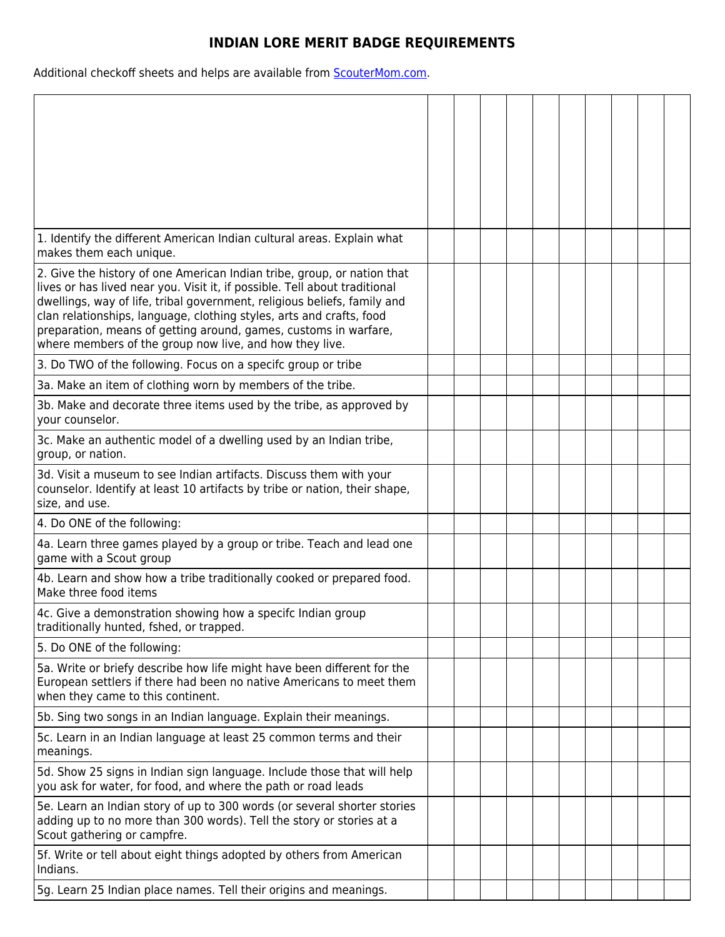## **INDIAN LORE MERIT BADGE REQUIREMENTS**

Additional checkoff sheets and helps are available from **ScouterMom.com**.

| 1. Identify the different American Indian cultural areas. Explain what<br>makes them each unique.                                                                                                                                                                                                                                                                                                                                        |  |  |  |  |  |
|------------------------------------------------------------------------------------------------------------------------------------------------------------------------------------------------------------------------------------------------------------------------------------------------------------------------------------------------------------------------------------------------------------------------------------------|--|--|--|--|--|
| 2. Give the history of one American Indian tribe, group, or nation that<br>lives or has lived near you. Visit it, if possible. Tell about traditional<br>dwellings, way of life, tribal government, religious beliefs, family and<br>clan relationships, language, clothing styles, arts and crafts, food<br>preparation, means of getting around, games, customs in warfare,<br>where members of the group now live, and how they live. |  |  |  |  |  |
| 3. Do TWO of the following. Focus on a specifc group or tribe                                                                                                                                                                                                                                                                                                                                                                            |  |  |  |  |  |
| 3a. Make an item of clothing worn by members of the tribe.                                                                                                                                                                                                                                                                                                                                                                               |  |  |  |  |  |
| 3b. Make and decorate three items used by the tribe, as approved by<br>your counselor.                                                                                                                                                                                                                                                                                                                                                   |  |  |  |  |  |
| 3c. Make an authentic model of a dwelling used by an Indian tribe,<br>group, or nation.                                                                                                                                                                                                                                                                                                                                                  |  |  |  |  |  |
| 3d. Visit a museum to see Indian artifacts. Discuss them with your<br>counselor. Identify at least 10 artifacts by tribe or nation, their shape,<br>size, and use.                                                                                                                                                                                                                                                                       |  |  |  |  |  |
| 4. Do ONE of the following:                                                                                                                                                                                                                                                                                                                                                                                                              |  |  |  |  |  |
| 4a. Learn three games played by a group or tribe. Teach and lead one<br>game with a Scout group                                                                                                                                                                                                                                                                                                                                          |  |  |  |  |  |
| 4b. Learn and show how a tribe traditionally cooked or prepared food.<br>Make three food items                                                                                                                                                                                                                                                                                                                                           |  |  |  |  |  |
| 4c. Give a demonstration showing how a specifc Indian group<br>traditionally hunted, fshed, or trapped.                                                                                                                                                                                                                                                                                                                                  |  |  |  |  |  |
| 5. Do ONE of the following:                                                                                                                                                                                                                                                                                                                                                                                                              |  |  |  |  |  |
| 5a. Write or briefy describe how life might have been different for the<br>European settlers if there had been no native Americans to meet them<br>when they came to this continent.                                                                                                                                                                                                                                                     |  |  |  |  |  |
| 5b. Sing two songs in an Indian language. Explain their meanings.                                                                                                                                                                                                                                                                                                                                                                        |  |  |  |  |  |
| 5c. Learn in an Indian language at least 25 common terms and their<br>meanings.                                                                                                                                                                                                                                                                                                                                                          |  |  |  |  |  |
| 5d. Show 25 signs in Indian sign language. Include those that will help<br>you ask for water, for food, and where the path or road leads                                                                                                                                                                                                                                                                                                 |  |  |  |  |  |
| 5e. Learn an Indian story of up to 300 words (or several shorter stories<br>adding up to no more than 300 words). Tell the story or stories at a<br>Scout gathering or campfre.                                                                                                                                                                                                                                                          |  |  |  |  |  |
| 5f. Write or tell about eight things adopted by others from American<br>Indians.                                                                                                                                                                                                                                                                                                                                                         |  |  |  |  |  |
| 5g. Learn 25 Indian place names. Tell their origins and meanings.                                                                                                                                                                                                                                                                                                                                                                        |  |  |  |  |  |